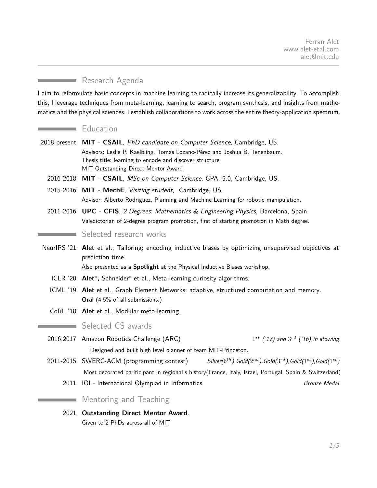# Research Agenda

I aim to reformulate basic concepts in machine learning to radically increase its generalizability. To accomplish this, I leverage techniques from meta-learning, learning to search, program synthesis, and insights from mathematics and the physical sciences. I establish collaborations to work across the entire theory-application spectrum.

# Education

|           | 2018-present MIT - CSAIL, PhD candidate on Computer Science, Cambridge, US.                                                            |
|-----------|----------------------------------------------------------------------------------------------------------------------------------------|
|           | Advisors: Leslie P. Kaelbling, Tomás Lozano-Pérez and Joshua B. Tenenbaum.                                                             |
|           | Thesis title: learning to encode and discover structure                                                                                |
|           | MIT Outstanding Direct Mentor Award                                                                                                    |
|           | 2016-2018 MIT - CSAIL, MSc on Computer Science, GPA: 5.0, Cambridge, US.                                                               |
| 2015-2016 | <b>MIT</b> - MechE, Visiting student, Cambridge, US.                                                                                   |
|           | Advisor: Alberto Rodriguez. Planning and Machine Learning for robotic manipulation.                                                    |
| 2011-2016 | <b>UPC</b> - CFIS, 2 Degrees: Mathematics & Engineering Physics, Barcelona, Spain.                                                     |
|           | Valedictorian of 2-degree program promotion, first of starting promotion in Math degree.                                               |
|           | Selected research works                                                                                                                |
|           | NeurIPS '21 Alet et al., Tailoring: encoding inductive biases by optimizing unsupervised objectives at                                 |
|           | prediction time.                                                                                                                       |
|           | Also presented as a <b>Spotlight</b> at the Physical Inductive Biases workshop.                                                        |
|           | ICLR '20 Alet*, Schneider* et al., Meta-learning curiosity algorithms.                                                                 |
|           | ICML '19 Alet et al., Graph Element Networks: adaptive, structured computation and memory.                                             |
|           | <b>Oral</b> (4.5% of all submissions.)                                                                                                 |
|           | CoRL '18 Alet et al., Modular meta-learning.                                                                                           |
|           | Selected CS awards                                                                                                                     |
|           | $1^{st}$ ('17) and $3^{rd}$ ('16) in stowing<br>2016,2017 Amazon Robotics Challenge (ARC)                                              |
|           | Designed and built high level planner of team MIT-Princeton.                                                                           |
|           | Silver( $6^{th}$ ), Gold $(2^{nd})$ , Gold $(3^{rd})$ , Gold $(1^{st})$ , Gold $(1^{st})$<br>2011-2015 SWERC-ACM (programming contest) |
|           | Most decorated pariticipant in regional's history (France, Italy, Israel, Portugal, Spain & Switzerland)                               |
|           | 2011 IOI - International Olympiad in Informatics<br><b>Bronze Medal</b>                                                                |
|           |                                                                                                                                        |
|           | Mentoring and Teaching                                                                                                                 |
| 2021      | <b>Outstanding Direct Mentor Award.</b>                                                                                                |
|           | Given to 2 PhDs across all of MIT                                                                                                      |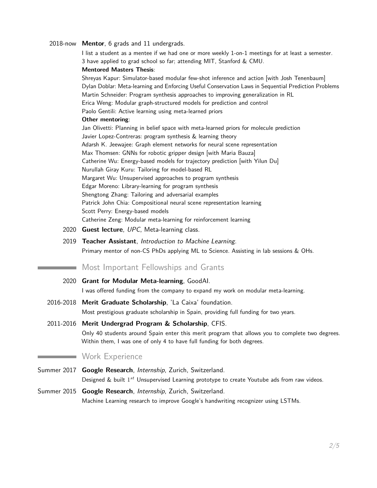#### 2018-now **Mentor**, 6 grads and 11 undergrads.

I list a student as a mentee if we had one or more weekly 1-on-1 meetings for at least a semester. 3 have applied to grad school so far; attending MIT, Stanford & CMU. **Mentored Masters Thesis**:

Shreyas Kapur: Simulator-based modular few-shot inference and action [with Josh Tenenbaum] Dylan Doblar: Meta-learning and Enforcing Useful Conservation Laws in Sequential Prediction Problems Martin Schneider: Program synthesis approaches to improving generalization in RL Erica Weng: Modular graph-structured models for prediction and control Paolo Gentili: Active learning using meta-learned priors **Other mentoring**: Jan Olivetti: Planning in belief space with meta-learned priors for molecule prediction Javier Lopez-Contreras: program synthesis & learning theory Adarsh K. Jeewajee: Graph element networks for neural scene representation Max Thomsen: GNNs for robotic gripper design [with Maria Bauza] Catherine Wu: Energy-based models for trajectory prediction [with Yilun Du] Nurullah Giray Kuru: Tailoring for model-based RL Margaret Wu: Unsupervised approaches to program synthesis Edgar Moreno: Library-learning for program synthesis Shengtong Zhang: Tailoring and adversarial examples Patrick John Chia: Compositional neural scene representation learning Scott Perry: Energy-based models Catherine Zeng: Modular meta-learning for reinforcement learning

- 2020 **Guest lecture**, UPC, Meta-learning class.
- 2019 **Teacher Assistant**, Introduction to Machine Learning. Primary mentor of non-CS PhDs applying ML to Science. Assisting in lab sessions & OHs.

## Most Important Fellowships and Grants

- 2020 **Grant for Modular Meta-learning**, GoodAI. I was offered funding from the company to expand my work on modular meta-learning.
- 2016-2018 **Merit Graduate Scholarship**, 'La Caixa' foundation. Most prestigious graduate scholarship in Spain, providing full funding for two years.
- 2011-2016 **Merit Undergrad Program & Scholarship**, CFIS. Only 40 students around Spain enter this merit program that allows you to complete two degrees. Within them, I was one of only 4 to have full funding for both degrees.

## **Work Experience**

- Summer 2017 **Google Research**, Internship, Zurich, Switzerland. Designed & built 1<sup>st</sup> Unsupervised Learning prototype to create Youtube ads from raw videos.
- Summer 2015 **Google Research**, Internship, Zurich, Switzerland. Machine Learning research to improve Google's handwriting recognizer using LSTMs.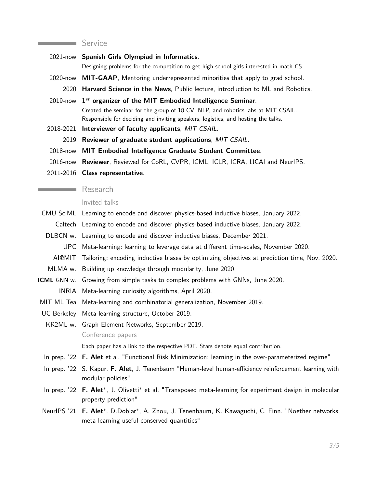**Service** 

2021-now **Spanish Girls Olympiad in Informatics**. Designing problems for the competition to get high-school girls interested in math CS. 2020-now **MIT-GAAP**, Mentoring underrepresented minorities that apply to grad school. 2020 **Harvard Science in the News**, Public lecture, introduction to ML and Robotics.

- 2019-now **1** *st* **organizer of the MIT Embodied Intelligence Seminar**. Created the seminar for the group of 18 CV, NLP, and robotics labs at MIT CSAIL. Responsible for deciding and inviting speakers, logistics, and hosting the talks.
- 2018-2021 **Interviewer of faculty applicants**, MIT CSAIL.
	- 2019 **Reviewer of graduate student applications**, MIT CSAIL.
- 2018-now **MIT Embodied Intelligence Graduate Student Committee**.
- 2016-now **Reviewer**, Reviewed for CoRL, CVPR, ICML, ICLR, ICRA, IJCAI and NeurIPS.
- 2011-2016 **Class representative**.

## **Research**

## Invited talks

- CMU SciML Learning to encode and discover physics-based inductive biases, January 2022.
	- Caltech Learning to encode and discover physics-based inductive biases, January 2022.
	- DLBCN w. Learning to encode and discover inductive biases, December 2021.
		- UPC Meta-learning: learning to leverage data at different time-scales, November 2020.
		- AI@MIT Tailoring: encoding inductive biases by optimizing objectives at prediction time, Nov. 2020.
	- MLMA w. Building up knowledge through modularity, June 2020.
- **ICML** GNN w. Growing from simple tasks to complex problems with GNNs, June 2020.
	- INRIA Meta-learning curiosity algorithms, April 2020.
- MIT ML Tea Meta-learning and combinatorial generalization, November 2019.
- UC Berkeley Meta-learning structure, October 2019.
- KR2ML w. Graph Element Networks, September 2019. Conference papers

Each paper has a link to the respective PDF. Stars denote equal contribution.

- In prep. '22 **F. Alet** [et al. "Functional Risk Minimization: learning in the over-parameterized regime"](http://web.mit.edu/alet/www/frm.html)
- In prep. '22 S. Kapur, **F. Alet**[, J. Tenenbaum "Human-level human-efficiency reinforcement learning with](http://web.mit.edu/alet/www/efficientrl.html) [modular policies"](http://web.mit.edu/alet/www/efficientrl.html)
- In prep. '22 F. Alet<sup>\*</sup>, J. Olivetti<sup>\*</sup> [et al. "Transposed meta-learning for experiment design in molecular](http://web.mit.edu/alet/www/molecule.html) [property prediction"](http://web.mit.edu/alet/www/molecule.html)
- NeurIPS '21 F. Alet<sup>\*</sup>, D.Doblar<sup>\*</sup>[, A. Zhou, J. Tenenbaum, K. Kawaguchi, C. Finn. "Noether networks:](https://arxiv.org/pdf/2112.03321.pdf) [meta-learning useful conserved quantities"](https://arxiv.org/pdf/2112.03321.pdf)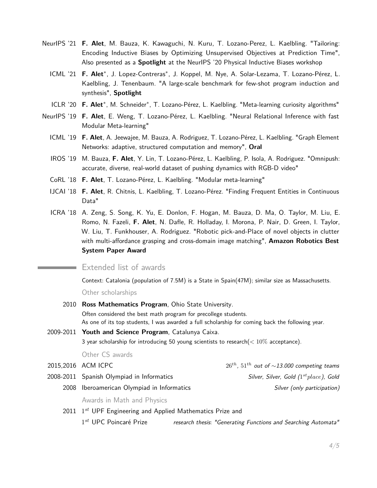- NeurIPS '21 **F. Alet**[, M. Bauza, K. Kawaguchi, N. Kuru, T. Lozano-Perez, L. Kaelbling. "Tailoring:](https://arxiv.org/pdf/2009.10623.pdf) [Encoding Inductive Biases by Optimizing Unsupervised Objectives at Prediction Time",](https://arxiv.org/pdf/2009.10623.pdf) Also presented as a **Spotlight** [at the NeurIPS '20 Physical Inductive Biases workshop](https://arxiv.org/pdf/2009.10623.pdf)
	- ICML '21 F. Alet<sup>\*</sup>, J. Lopez-Contreras<sup>\*</sup>[, J. Koppel, M. Nye, A. Solar-Lezama, T. Lozano-Pérez, L.](https://lis.csail.mit.edu/progres) [Kaelbling, J. Tenenbaum. "A large-scale benchmark for few-shot program induction and](https://lis.csail.mit.edu/progres) [synthesis",](https://lis.csail.mit.edu/progres) **Spotlight**
	- ICLR '20 F. Alet<sup>\*</sup>, M. Schneider<sup>\*</sup>[, T. Lozano-Pérez, L. Kaelbling. "Meta-learning curiosity algorithms"](https://arxiv.org/pdf/2003.05325.pdf)
- NeurIPS '19 **F. Alet**[, E. Weng, T. Lozano-Pérez, L. Kaelbling. "Neural Relational Inference with fast](https://papers.nips.cc/paper/2019/file/b294504229c668e750dfcc4ea9617f0a-Paper.pdf) [Modular Meta-learning"](https://papers.nips.cc/paper/2019/file/b294504229c668e750dfcc4ea9617f0a-Paper.pdf)
	- ICML '19 **F. Alet**[, A. Jeewajee, M. Bauza, A. Rodriguez, T. Lozano-Pérez, L. Kaelbling. "Graph Element](https://arxiv.org/pdf/1904.09019.pdf) [Networks: adaptive, structured computation and memory",](https://arxiv.org/pdf/1904.09019.pdf) **Oral**
	- IROS '19 M. Bauza, **F. Alet**[, Y. Lin, T. Lozano-Pérez, L. Kaelbling, P. Isola, A. Rodriguez. "Omnipush:](https://arxiv.org/pdf/1910.00618.pdf) [accurate, diverse, real-world dataset of pushing dynamics with RGB-D video"](https://arxiv.org/pdf/1910.00618.pdf)
	- CoRL '18 **F. Alet**[, T. Lozano-Pérez, L. Kaelbling. "Modular meta-learning"](https://arxiv.org/pdf/1806.10166.pdf)
	- IJCAI '18 **F. Alet**[, R. Chitnis, L. Kaelbling, T. Lozano-Pérez. "Finding Frequent Entities in Continuous](https://arxiv.org/pdf/1805.02874.pdf) [Data"](https://arxiv.org/pdf/1805.02874.pdf)
	- ICRA '18 [A. Zeng, S. Song, K. Yu, E. Donlon, F. Hogan, M. Bauza, D. Ma, O. Taylor, M. Liu, E.](https://arxiv.org/pdf/1710.01330.pdf) Romo, N. Fazeli, **F. Alet**[, N. Dafle, R. Holladay, I. Morona, P. Nair, D. Green, I. Taylor,](https://arxiv.org/pdf/1710.01330.pdf) [W. Liu, T. Funkhouser, A. Rodriguez. "Robotic pick-and-Place of novel objects in clutter](https://arxiv.org/pdf/1710.01330.pdf) [with multi-affordance grasping and cross-domain image matching",](https://arxiv.org/pdf/1710.01330.pdf) **Amazon Robotics Best [System Paper Award](https://arxiv.org/pdf/1710.01330.pdf)**

Extended list of awards

Context: Catalonia (population of 7.5M) is a State in Spain(47M); similar size as Massachusetts.

Other scholarships

2010 **Ross Mathematics Program**, Ohio State University. Often considered the best math program for precollege students. As one of its top students, I was awarded a full scholarship for coming back the following year. 2009-2011 **Youth and Science Program**, Catalunya Caixa. 3 year scholarship for introducing 50 young scientists to research(*<* 10% acceptance). Other CS awards 2015,2016 ACM ICPC 26*th*  $26^{th}$ , 51<sup>th</sup> out of ~13.000 competing teams 2008-2011 Spanish Olympiad in Informatics *Silver, Silver, Gold (1st place), Gold* 2008 Iberoamerican Olympiad in Informatics Silver (only participation)

Awards in Math and Physics

- 2011 1 *st* UPF Engineering and Applied Mathematics Prize and
	- $1^{st}$  UPC Poincaré Prize research thesis: "Generating Functions and Searching Automata"